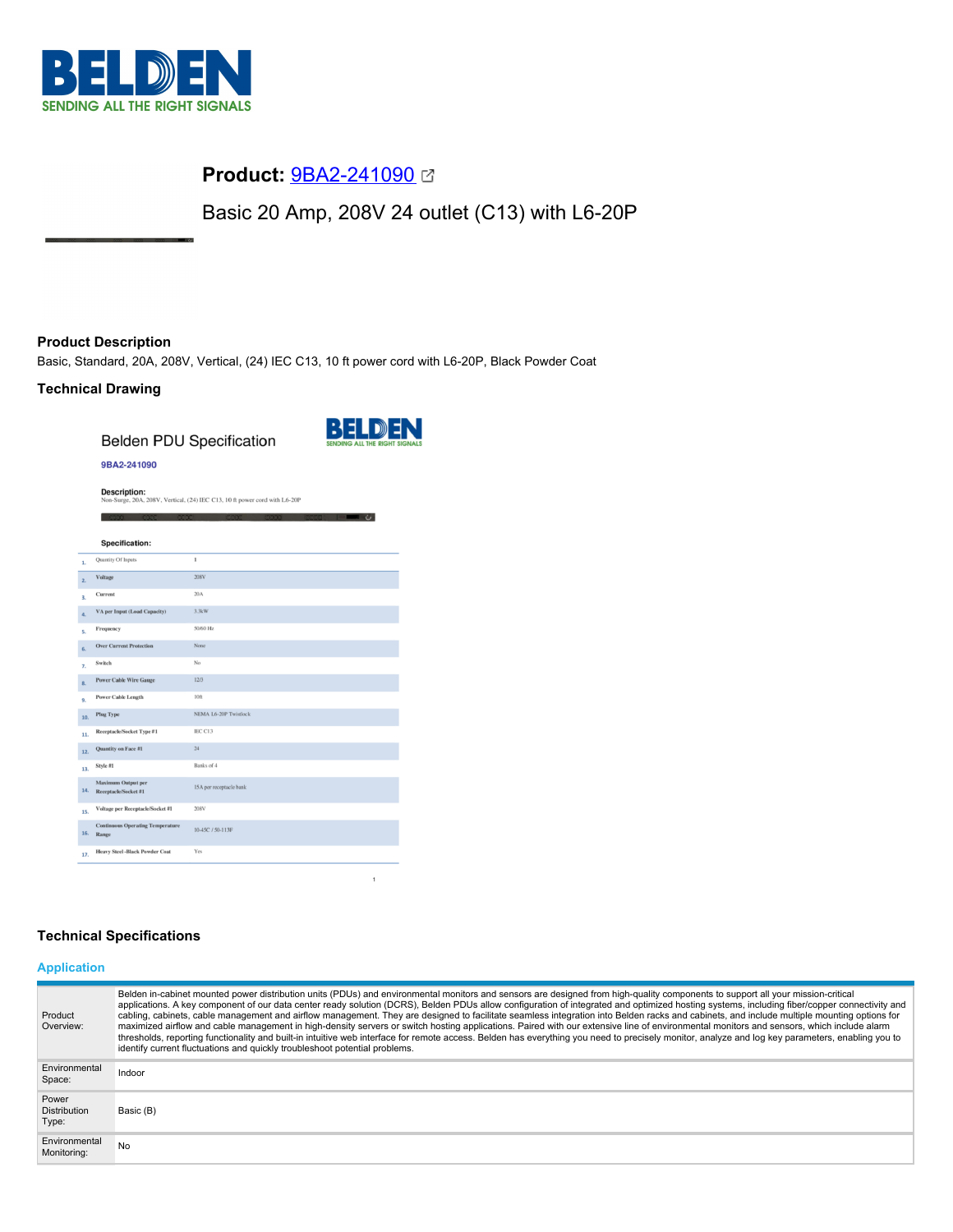

# **Product:** [9BA2-241090](https://catalog.belden.com/index.cfm?event=pd&p=PF_9BA2241090&tab=downloads)

Basic 20 Amp, 208V 24 outlet (C13) with L6-20P

# **Product Description**

Basic, Standard, 20A, 208V, Vertical, (24) IEC C13, 10 ft power cord with L6-20P, Black Powder Coat

## **Technical Drawing**

**Belden PDU Specification** 



#### 9BA2-241090

**Description:** 

|                                                          |                                         | Non-Surge, 20A, 208V, Vertical, (24) IEC C13, 10 ft power cord with L6-20P |
|----------------------------------------------------------|-----------------------------------------|----------------------------------------------------------------------------|
|                                                          |                                         |                                                                            |
| <b>Specification:</b>                                    |                                         |                                                                            |
| Quantity Of Inputs<br>1.                                 |                                         | $\mathbf{I}$                                                               |
| Voltage<br>2.                                            |                                         | 208V                                                                       |
| Current<br>3.                                            |                                         | 20A                                                                        |
| 4.                                                       | VA per Input (Load Capacity)            | 3.3kW                                                                      |
| Frequency<br>5.                                          |                                         | 50/60 Hz                                                                   |
| <b>Over Current Protection</b><br>6.                     |                                         | None                                                                       |
| Switch<br>7.                                             |                                         | No.                                                                        |
| <b>Power Cable Wire Gauge</b><br>8.                      |                                         | 12/3                                                                       |
| <b>Power Cable Length</b><br>9.                          |                                         | 10 <sup>ft</sup>                                                           |
| <b>Plug Type</b><br>10.                                  |                                         | <b>NEMA L6-20P Twistlock</b>                                               |
| Receptacle/Socket Type #1<br>11.                         |                                         | IEC C13                                                                    |
| Quantity on Face #1<br>12.                               |                                         | 24                                                                         |
| Style #1<br>13.                                          |                                         | Banks of 4                                                                 |
| <b>Maximum Output per</b><br>14.<br>Receptacle/Socket #1 |                                         | 15A per receptacle bank                                                    |
| 15.                                                      | Voltage per Receptacle/Socket #1        | 208V                                                                       |
| 16.<br>Range                                             | <b>Continuous Operating Temperature</b> | 10-45C / 50-113F                                                           |
| 17.                                                      | <b>Heavy Steel-Black Powder Coat</b>    | Yes                                                                        |
|                                                          |                                         |                                                                            |

# **Technical Specifications**

# **Application**

| Product<br>Overview:                  | Belden in-cabinet mounted power distribution units (PDUs) and environmental monitors and sensors are designed from high-quality components to support all your mission-critical<br>applications. A key component of our data center ready solution (DCRS), Belden PDUs allow configuration of integrated and optimized hosting systems, including fiber/copper connectivity and<br>cabling, cabinets, cable management and airflow management. They are designed to facilitate seamless integration into Belden racks and cabinets, and include multiple mounting options for<br>maximized airflow and cable management in high-density servers or switch hosting applications. Paired with our extensive line of environmental monitors and sensors, which include alarm<br>thresholds, reporting functionality and built-in intuitive web interface for remote access. Belden has everything you need to precisely monitor, analyze and log key parameters, enabling you to |
|---------------------------------------|-------------------------------------------------------------------------------------------------------------------------------------------------------------------------------------------------------------------------------------------------------------------------------------------------------------------------------------------------------------------------------------------------------------------------------------------------------------------------------------------------------------------------------------------------------------------------------------------------------------------------------------------------------------------------------------------------------------------------------------------------------------------------------------------------------------------------------------------------------------------------------------------------------------------------------------------------------------------------------|
| Environmental<br>Space:               | identify current fluctuations and quickly troubleshoot potential problems.<br>Indoor                                                                                                                                                                                                                                                                                                                                                                                                                                                                                                                                                                                                                                                                                                                                                                                                                                                                                          |
| Power<br><b>Distribution</b><br>Type: | Basic (B)                                                                                                                                                                                                                                                                                                                                                                                                                                                                                                                                                                                                                                                                                                                                                                                                                                                                                                                                                                     |
| Environmental<br>Monitoring:          | No                                                                                                                                                                                                                                                                                                                                                                                                                                                                                                                                                                                                                                                                                                                                                                                                                                                                                                                                                                            |